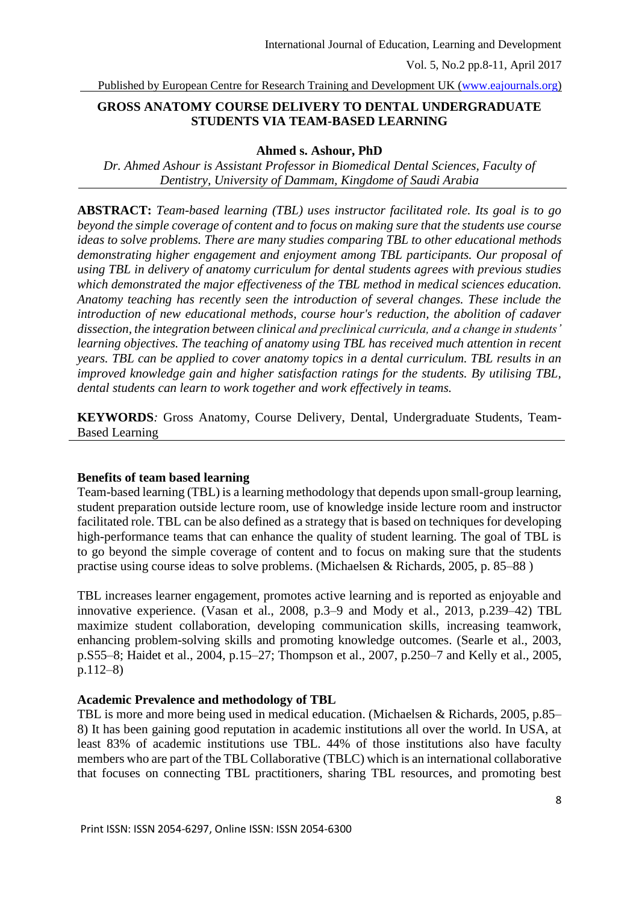Vol. 5, No.2 pp.8-11, April 2017

Published by European Centre for Research Training and Development UK [\(www.eajournals.org\)](http://www.eajournals.org/)

# **GROSS ANATOMY COURSE DELIVERY TO DENTAL UNDERGRADUATE STUDENTS VIA TEAM-BASED LEARNING**

#### **Ahmed s. Ashour, PhD**

*Dr. Ahmed Ashour is Assistant Professor in Biomedical Dental Sciences, Faculty of Dentistry, University of Dammam, Kingdome of Saudi Arabia*

**ABSTRACT:** *Team-based learning (TBL) uses instructor facilitated role. Its goal is to go beyond the simple coverage of content and to focus on making sure that the students use course ideas to solve problems. There are many studies comparing TBL to other educational methods demonstrating higher engagement and enjoyment among TBL participants. Our proposal of using TBL in delivery of anatomy curriculum for dental students agrees with previous studies which demonstrated the major effectiveness of the TBL method in medical sciences education. Anatomy teaching has recently seen the introduction of several changes. These include the introduction of new educational methods, course hour's reduction, the abolition of cadaver dissection, the integration between clinical and preclinical curricula, and a change in students' learning objectives. The teaching of anatomy using TBL has received much attention in recent years. TBL can be applied to cover anatomy topics in a dental curriculum. TBL results in an improved knowledge gain and higher satisfaction ratings for the students. By utilising TBL, dental students can learn to work together and work effectively in teams.*

**KEYWORDS***:* Gross Anatomy, Course Delivery, Dental, Undergraduate Students, Team-Based Learning

### **Benefits of team based learning**

Team-based learning (TBL) is a learning methodology that depends upon small-group learning, student preparation outside lecture room, use of knowledge inside lecture room and instructor facilitated role. TBL can be also defined as a strategy that is based on techniques for developing high-performance teams that can enhance the quality of student learning. The goal of TBL is to go beyond the simple coverage of content and to focus on making sure that the students practise using course ideas to solve problems. (Michaelsen & Richards, 2005, p. 85–88 )

TBL increases learner engagement, promotes active learning and is reported as enjoyable and innovative experience. (Vasan et al., 2008, p.3–9 and Mody et al., 2013, p.239–42) TBL maximize student collaboration, developing communication skills, increasing teamwork, enhancing problem-solving skills and promoting knowledge outcomes. (Searle et al., 2003, p.S55–8; Haidet et al., 2004, p.15–27; Thompson et al., 2007, p.250–7 and Kelly et al., 2005, p.112–8)

### **Academic Prevalence and methodology of TBL**

TBL is more and more being used in medical education. (Michaelsen & Richards, 2005, p.85– 8) It has been gaining good reputation in academic institutions all over the world. In USA, at least 83% of academic institutions use TBL. 44% of those institutions also have faculty members who are part of th[e TBL Collaborative](http://www.teambasedlearning.org/) (TBLC) which is an international collaborative that focuses on connecting TBL practitioners, sharing TBL resources, and promoting best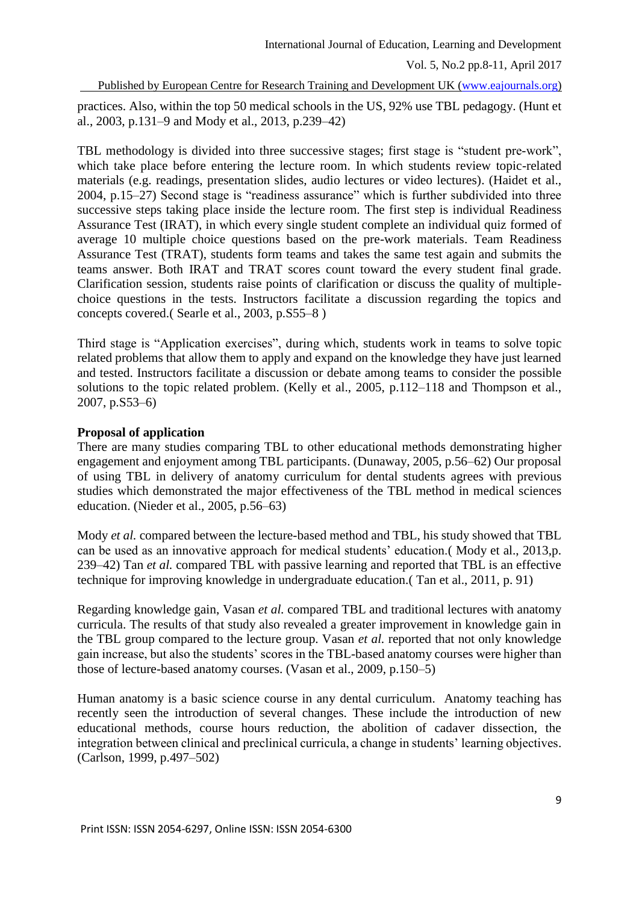Vol. 5, No.2 pp.8-11, April 2017

Published by European Centre for Research Training and Development UK [\(www.eajournals.org\)](http://www.eajournals.org/)

practices. Also, within the top 50 medical schools in the US, 92% use TBL pedagogy. (Hunt et al., 2003, p.131–9 and Mody et al., 2013, p.239–42)

TBL methodology is divided into three successive stages; first stage is "student pre-work", which take place before entering the lecture room. In which students review topic-related materials (e.g. readings, presentation slides, audio lectures or video lectures). (Haidet et al., 2004, p.15–27) Second stage is "readiness assurance" which is further subdivided into three successive steps taking place inside the lecture room. The first step is individual Readiness Assurance Test (IRAT), in which every single student complete an individual quiz formed of average 10 multiple choice questions based on the pre-work materials. Team Readiness Assurance Test (TRAT), students form teams and takes the same test again and submits the teams answer. Both IRAT and TRAT scores count toward the every student final grade. Clarification session, students raise points of clarification or discuss the quality of multiplechoice questions in the tests. Instructors facilitate a discussion regarding the topics and concepts covered.( Searle et al., 2003, p.S55–8 )

Third stage is "Application exercises", during which, students work in teams to solve topic related problems that allow them to apply and expand on the knowledge they have just learned and tested. Instructors facilitate a discussion or debate among teams to consider the possible solutions to the topic related problem. (Kelly et al., 2005, p.112–118 and Thompson et al., 2007, p.S53–6)

## **Proposal of application**

There are many studies comparing TBL to other educational methods demonstrating higher engagement and enjoyment among TBL participants. (Dunaway, 2005, p.56–62) Our proposal of using TBL in delivery of anatomy curriculum for dental students agrees with previous studies which demonstrated the major effectiveness of the TBL method in medical sciences education. (Nieder et al., 2005, p.56–63)

Mody *et al.* compared between the lecture-based method and TBL, his study showed that TBL can be used as an innovative approach for medical students' education.( Mody et al., 2013,p. 239–42) Tan *et al.* compared TBL with passive learning and reported that TBL is an effective technique for improving knowledge in undergraduate education.( Tan et al., 2011, p. 91)

Regarding knowledge gain, Vasan *et al.* compared TBL and traditional lectures with anatomy curricula. The results of that study also revealed a greater improvement in knowledge gain in the TBL group compared to the lecture group. Vasan *et al.* reported that not only knowledge gain increase, but also the students' scores in the TBL-based anatomy courses were higher than those of lecture-based anatomy courses. (Vasan et al., 2009, p.150–5)

Human anatomy is a basic science course in any dental curriculum. Anatomy teaching has recently seen the introduction of several changes. These include the introduction of new educational methods, course hours reduction, the abolition of cadaver dissection, the integration between clinical and preclinical curricula, a change in students' learning objectives. (Carlson, 1999, p.497–502)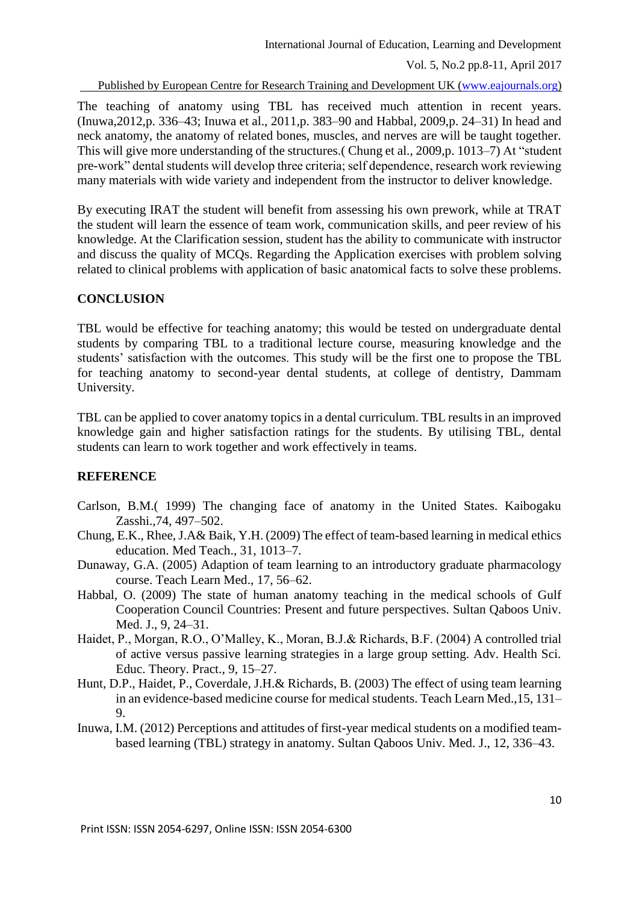Published by European Centre for Research Training and Development UK [\(www.eajournals.org\)](http://www.eajournals.org/)

The teaching of anatomy using TBL has received much attention in recent years. (Inuwa,2012,p. 336–43; Inuwa et al., 2011,p. 383–90 and Habbal, 2009,p. 24–31) In head and neck anatomy, the anatomy of related bones, muscles, and nerves are will be taught together. This will give more understanding of the structures.( Chung et al., 2009,p. 1013–7) At "student pre-work" dental students will develop three criteria; self dependence, research work reviewing many materials with wide variety and independent from the instructor to deliver knowledge.

By executing IRAT the student will benefit from assessing his own prework, while at TRAT the student will learn the essence of team work, communication skills, and peer review of his knowledge. At the Clarification session, student has the ability to communicate with instructor and discuss the quality of MCQs. Regarding the Application exercises with problem solving related to clinical problems with application of basic anatomical facts to solve these problems.

## **CONCLUSION**

TBL would be effective for teaching anatomy; this would be tested on undergraduate dental students by comparing TBL to a traditional lecture course, measuring knowledge and the students' satisfaction with the outcomes. This study will be the first one to propose the TBL for teaching anatomy to second-year dental students, at college of dentistry, Dammam University.

TBL can be applied to cover anatomy topics in a dental curriculum. TBL results in an improved knowledge gain and higher satisfaction ratings for the students. By utilising TBL, dental students can learn to work together and work effectively in teams.

# **REFERENCE**

- Carlson, B.M.( 1999) The changing face of anatomy in the United States. Kaibogaku Zasshi.,74, 497–502.
- Chung, E.K., Rhee, J.A& Baik, Y.H. (2009) The effect of team-based learning in medical ethics education. Med Teach., 31, 1013–7.
- Dunaway, G.A. (2005) Adaption of team learning to an introductory graduate pharmacology course. Teach Learn Med., 17, 56–62.
- Habbal, O. (2009) The state of human anatomy teaching in the medical schools of Gulf Cooperation Council Countries: Present and future perspectives. Sultan Qaboos Univ. Med. J., 9, 24–31.
- Haidet, P., Morgan, R.O., O'Malley, K., Moran, B.J.& Richards, B.F. (2004) A controlled trial of active versus passive learning strategies in a large group setting. Adv. Health Sci. Educ. Theory. Pract., 9, 15–27.
- Hunt, D.P., Haidet, P., Coverdale, J.H.& Richards, B. (2003) The effect of using team learning in an evidence-based medicine course for medical students. Teach Learn Med.,15, 131– 9.
- Inuwa, I.M. (2012) Perceptions and attitudes of first-year medical students on a modified teambased learning (TBL) strategy in anatomy. Sultan Qaboos Univ. Med. J., 12, 336–43.